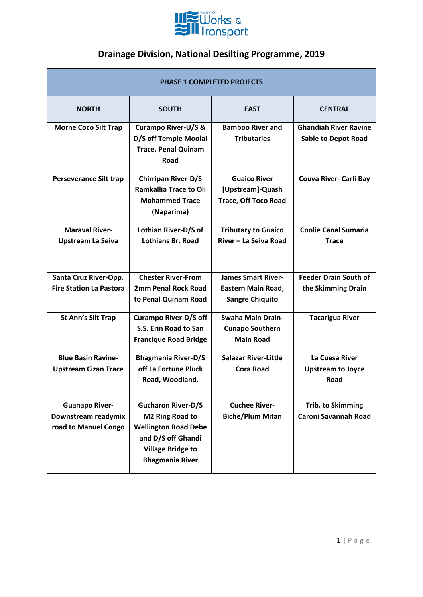

| <b>PHASE 1 COMPLETED PROJECTS</b>                 |                                                                                                    |                                                                        |                                                            |
|---------------------------------------------------|----------------------------------------------------------------------------------------------------|------------------------------------------------------------------------|------------------------------------------------------------|
| <b>NORTH</b>                                      | <b>SOUTH</b>                                                                                       | <b>EAST</b>                                                            | <b>CENTRAL</b>                                             |
| <b>Morne Coco Silt Trap</b>                       | <b>Curampo River-U/S &amp;</b><br>D/S off Temple Moolai<br><b>Trace, Penal Quinam</b><br>Road      | <b>Bamboo River and</b><br><b>Tributaries</b>                          | <b>Ghandiah River Ravine</b><br><b>Sable to Depot Road</b> |
| <b>Perseverance Silt trap</b>                     | <b>Chirripan River-D/S</b><br><b>Ramkallia Trace to Oli</b><br><b>Mohammed Trace</b><br>(Naparima) | <b>Guaico River</b><br>[Upstream]-Quash<br><b>Trace, Off Toco Road</b> | Couva River- Carli Bay                                     |
| <b>Maraval River-</b><br><b>Upstream La Seiva</b> | Lothian River-D/S of<br><b>Lothians Br. Road</b>                                                   | <b>Tributary to Guaico</b><br>River - La Seiva Road                    | <b>Coolie Canal Sumaria</b><br><b>Trace</b>                |
| Santa Cruz River-Opp.                             | <b>Chester River-From</b>                                                                          | <b>James Smart River-</b>                                              | <b>Feeder Drain South of</b>                               |
| <b>Fire Station La Pastora</b>                    | <b>2mm Penal Rock Road</b><br>to Penal Quinam Road                                                 | Eastern Main Road,<br><b>Sangre Chiquito</b>                           | the Skimming Drain                                         |
| <b>St Ann's Silt Trap</b>                         | <b>Curampo River-D/S off</b>                                                                       | <b>Swaha Main Drain-</b>                                               | <b>Tacarigua River</b>                                     |
|                                                   | S.S. Erin Road to San                                                                              | <b>Cunapo Southern</b>                                                 |                                                            |
|                                                   | <b>Francique Road Bridge</b>                                                                       | <b>Main Road</b>                                                       |                                                            |
| <b>Blue Basin Ravine-</b>                         | <b>Bhagmania River-D/S</b>                                                                         | <b>Salazar River-Little</b>                                            | La Cuesa River                                             |
| <b>Upstream Cizan Trace</b>                       | off La Fortune Pluck                                                                               | <b>Cora Road</b>                                                       | <b>Upstream to Joyce</b>                                   |
|                                                   | Road, Woodland.                                                                                    |                                                                        | Road                                                       |
| <b>Guanapo River-</b>                             | <b>Gucharon River-D/S</b>                                                                          | <b>Cuchee River-</b>                                                   | <b>Trib. to Skimming</b>                                   |
| Downstream readymix                               | M2 Ring Road to                                                                                    | <b>Biche/Plum Mitan</b>                                                | <b>Caroni Savannah Road</b>                                |
| road to Manuel Congo                              | <b>Wellington Road Debe</b>                                                                        |                                                                        |                                                            |
|                                                   | and D/S off Ghandi                                                                                 |                                                                        |                                                            |
|                                                   | <b>Village Bridge to</b><br><b>Bhagmania River</b>                                                 |                                                                        |                                                            |
|                                                   |                                                                                                    |                                                                        |                                                            |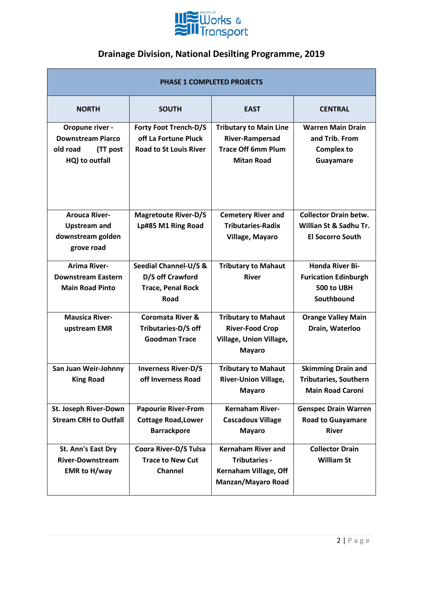

| <b>PHASE 1 COMPLETED PROJECTS</b>                                                     |                                                                                       |                                                                                                           |                                                                                      |
|---------------------------------------------------------------------------------------|---------------------------------------------------------------------------------------|-----------------------------------------------------------------------------------------------------------|--------------------------------------------------------------------------------------|
| <b>NORTH</b>                                                                          | <b>SOUTH</b>                                                                          | <b>EAST</b>                                                                                               | <b>CENTRAL</b>                                                                       |
| Oropune river -<br><b>Downstream Piarco</b><br>old road<br>(TT post<br>HQ) to outfall | <b>Forty Foot Trench-D/S</b><br>off La Fortune Pluck<br><b>Road to St Louis River</b> | <b>Tributary to Main Line</b><br><b>River-Rampersad</b><br><b>Trace Off 6mm Plum</b><br><b>Mitan Road</b> | <b>Warren Main Drain</b><br>and Trib. From<br><b>Complex to</b><br>Guayamare         |
| <b>Arouca River-</b><br><b>Upstream and</b><br>downstream golden<br>grove road        | <b>Magretoute River-D/S</b><br>Lp#85 M1 Ring Road                                     | <b>Cemetery River and</b><br><b>Tributaries-Radix</b><br>Village, Mayaro                                  | <b>Collector Drain betw.</b><br>Willian St & Sadhu Tr.<br><b>El Socorro South</b>    |
| <b>Arima River-</b><br><b>Downstream Eastern</b><br><b>Main Road Pinto</b>            | Seedial Channel-U/S &<br>D/S off Crawford<br><b>Trace, Penal Rock</b><br><b>Road</b>  | <b>Tributary to Mahaut</b><br><b>River</b>                                                                | <b>Honda River Bi-</b><br><b>Furication Edinburgh</b><br>500 to UBH<br>Southbound    |
| <b>Mausica River-</b><br>upstream EMR                                                 | <b>Coromata River &amp;</b><br>Tributaries-D/S off<br><b>Goodman Trace</b>            | <b>Tributary to Mahaut</b><br><b>River-Food Crop</b><br>Village, Union Village,<br><b>Mayaro</b>          | <b>Orange Valley Main</b><br>Drain, Waterloo                                         |
| San Juan Weir-Johnny<br><b>King Road</b>                                              | <b>Inverness River-D/S</b><br>off Inverness Road                                      | <b>Tributary to Mahaut</b><br><b>River-Union Village,</b><br><b>Mayaro</b>                                | <b>Skimming Drain and</b><br><b>Tributaries, Southern</b><br><b>Main Road Caroni</b> |
| St. Joseph River-Down<br><b>Stream CRH to Outfall</b>                                 | <b>Papourie River-From</b><br><b>Cottage Road, Lower</b><br><b>Barrackpore</b>        | <b>Kernaham River-</b><br><b>Cascadoux Village</b><br><b>Mayaro</b>                                       | <b>Genspec Drain Warren</b><br><b>Road to Guayamare</b><br><b>River</b>              |
| St. Ann's East Dry<br><b>River-Downstream</b><br><b>EMR to H/way</b>                  | Coora River-D/S Tulsa<br><b>Trace to New Cut</b><br><b>Channel</b>                    | <b>Kernaham River and</b><br><b>Tributaries -</b><br>Kernaham Village, Off<br>Manzan/Mayaro Road          | <b>Collector Drain</b><br><b>William St</b>                                          |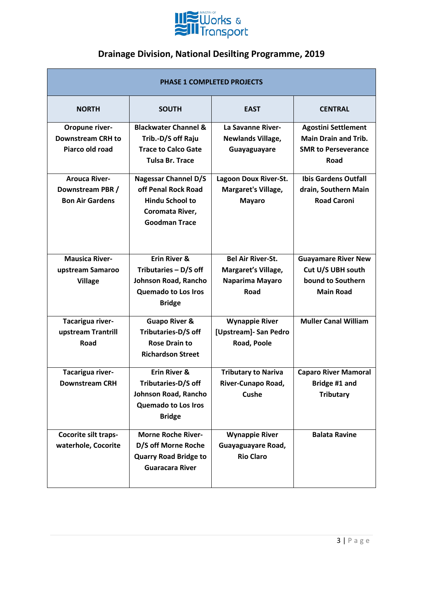

| <b>PHASE 1 COMPLETED PROJECTS</b>                                  |                                                                                                                         |                                                                                   |                                                                                                 |
|--------------------------------------------------------------------|-------------------------------------------------------------------------------------------------------------------------|-----------------------------------------------------------------------------------|-------------------------------------------------------------------------------------------------|
| <b>NORTH</b>                                                       | <b>SOUTH</b>                                                                                                            | <b>EAST</b>                                                                       | <b>CENTRAL</b>                                                                                  |
| Oropune river-<br><b>Downstream CRH to</b><br>Piarco old road      | <b>Blackwater Channel &amp;</b><br>Trib.-D/S off Raju<br><b>Trace to Calco Gate</b><br><b>Tulsa Br. Trace</b>           | La Savanne River-<br><b>Newlands Village,</b><br>Guayaguayare                     | <b>Agostini Settlement</b><br><b>Main Drain and Trib.</b><br><b>SMR to Perseverance</b><br>Road |
| <b>Arouca River-</b><br>Downstream PBR /<br><b>Bon Air Gardens</b> | <b>Nagessar Channel D/S</b><br>off Penal Rock Road<br><b>Hindu School to</b><br>Coromata River,<br><b>Goodman Trace</b> | Lagoon Doux River-St.<br>Margaret's Village,<br><b>Mayaro</b>                     | <b>Ibis Gardens Outfall</b><br>drain, Southern Main<br><b>Road Caroni</b>                       |
| <b>Mausica River-</b><br>upstream Samaroo<br><b>Village</b>        | Erin River &<br>Tributaries - D/S off<br>Johnson Road, Rancho<br><b>Quemado to Los Iros</b><br><b>Bridge</b>            | <b>Bel Air River-St.</b><br>Margaret's Village,<br>Naparima Mayaro<br><b>Road</b> | <b>Guayamare River New</b><br>Cut U/S UBH south<br>bound to Southern<br><b>Main Road</b>        |
| Tacarigua river-<br>upstream Trantrill<br>Road                     | <b>Guapo River &amp;</b><br>Tributaries-D/S off<br><b>Rose Drain to</b><br><b>Richardson Street</b>                     | <b>Wynappie River</b><br>[Upstream]- San Pedro<br>Road, Poole                     | <b>Muller Canal William</b>                                                                     |
| Tacarigua river-<br><b>Downstream CRH</b>                          | Erin River &<br>Tributaries-D/S off<br>Johnson Road, Rancho<br><b>Quemado to Los Iros</b><br><b>Bridge</b>              | <b>Tributary to Nariva</b><br>River-Cunapo Road,<br>Cushe                         | <b>Caparo River Mamoral</b><br>Bridge #1 and<br><b>Tributary</b>                                |
| Cocorite silt traps-<br>waterhole, Cocorite                        | <b>Morne Roche River-</b><br>D/S off Morne Roche<br><b>Quarry Road Bridge to</b><br><b>Guaracara River</b>              | <b>Wynappie River</b><br>Guayaguayare Road,<br><b>Rio Claro</b>                   | <b>Balata Ravine</b>                                                                            |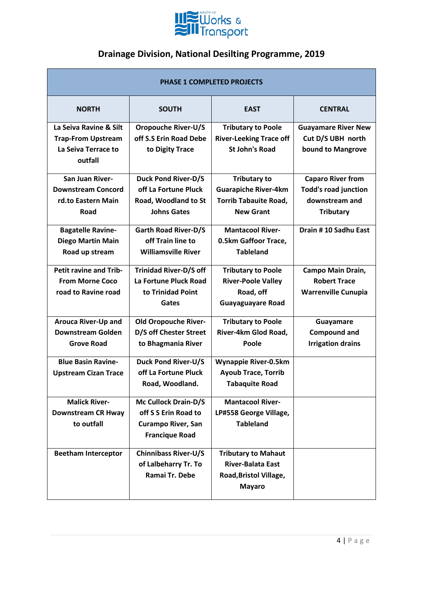

| <b>PHASE 1 COMPLETED PROJECTS</b>                                                     |                                                                                                    |                                                                                                        |                                                                                               |
|---------------------------------------------------------------------------------------|----------------------------------------------------------------------------------------------------|--------------------------------------------------------------------------------------------------------|-----------------------------------------------------------------------------------------------|
| <b>NORTH</b>                                                                          | <b>SOUTH</b>                                                                                       | <b>EAST</b>                                                                                            | <b>CENTRAL</b>                                                                                |
| La Seiva Ravine & Silt<br><b>Trap-From Upstream</b><br>La Seiva Terrace to<br>outfall | <b>Oropouche River-U/S</b><br>off S.S Erin Road Debe<br>to Digity Trace                            | <b>Tributary to Poole</b><br><b>River-Leeking Trace off</b><br><b>St John's Road</b>                   | <b>Guayamare River New</b><br>Cut D/S UBH north<br>bound to Mangrove                          |
| <b>San Juan River-</b><br><b>Downstream Concord</b><br>rd.to Eastern Main<br>Road     | <b>Duck Pond River-D/S</b><br>off La Fortune Pluck<br>Road, Woodland to St<br><b>Johns Gates</b>   | <b>Tributary to</b><br><b>Guarapiche River-4km</b><br><b>Torrib Tabauite Road,</b><br><b>New Grant</b> | <b>Caparo River from</b><br><b>Todd's road junction</b><br>downstream and<br><b>Tributary</b> |
| <b>Bagatelle Ravine-</b><br><b>Diego Martin Main</b><br>Road up stream                | <b>Garth Road River-D/S</b><br>off Train line to<br><b>Williamsville River</b>                     | <b>Mantacool River-</b><br>0.5km Gaffoor Trace,<br><b>Tableland</b>                                    | Drain #10 Sadhu East                                                                          |
| <b>Petit ravine and Trib-</b><br><b>From Morne Coco</b><br>road to Ravine road        | <b>Trinidad River-D/S off</b><br>La Fortune Pluck Road<br>to Trinidad Point<br>Gates               | <b>Tributary to Poole</b><br><b>River-Poole Valley</b><br>Road, off<br><b>Guayaguayare Road</b>        | Campo Main Drain,<br><b>Robert Trace</b><br><b>Warrenville Cunupia</b>                        |
| <b>Arouca River-Up and</b><br><b>Downstream Golden</b><br><b>Grove Road</b>           | <b>Old Oropouche River-</b><br>D/S off Chester Street<br>to Bhagmania River                        | <b>Tributary to Poole</b><br>River-4km Glod Road,<br>Poole                                             | Guayamare<br><b>Compound and</b><br><b>Irrigation drains</b>                                  |
| <b>Blue Basin Ravine-</b><br><b>Upstream Cizan Trace</b>                              | <b>Duck Pond River-U/S</b><br>off La Fortune Pluck<br>Road, Woodland.                              | <b>Wynappie River-0.5km</b><br><b>Ayoub Trace, Torrib</b><br><b>Tabaquite Road</b>                     |                                                                                               |
| <b>Malick River-</b><br><b>Downstream CR Hway</b><br>to outfall                       | Mc Cullock Drain-D/S<br>off S S Erin Road to<br><b>Curampo River, San</b><br><b>Francique Road</b> | <b>Mantacool River-</b><br>LP#558 George Village,<br><b>Tableland</b>                                  |                                                                                               |
| <b>Beetham Interceptor</b>                                                            | <b>Chinnibass River-U/S</b><br>of Lalbeharry Tr. To<br>Ramai Tr. Debe                              | <b>Tributary to Mahaut</b><br><b>River-Balata East</b><br>Road, Bristol Village,<br><b>Mayaro</b>      |                                                                                               |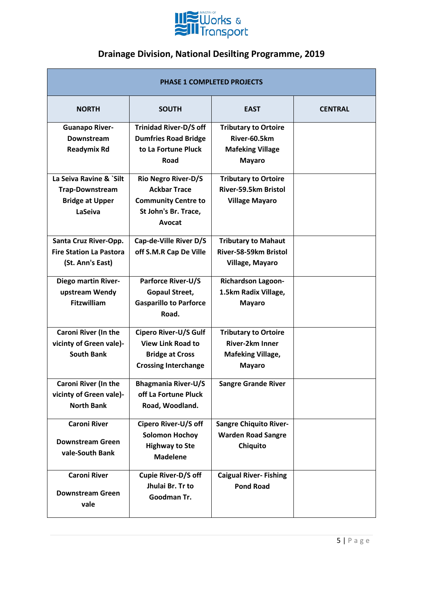

| <b>PHASE 1 COMPLETED PROJECTS</b>                                                      |                                                                                                                   |                                                                                             |                |
|----------------------------------------------------------------------------------------|-------------------------------------------------------------------------------------------------------------------|---------------------------------------------------------------------------------------------|----------------|
| <b>NORTH</b>                                                                           | <b>SOUTH</b>                                                                                                      | <b>EAST</b>                                                                                 | <b>CENTRAL</b> |
| <b>Guanapo River-</b><br>Downstream<br><b>Readymix Rd</b>                              | <b>Trinidad River-D/S off</b><br><b>Dumfries Road Bridge</b><br>to La Fortune Pluck<br>Road                       | <b>Tributary to Ortoire</b><br>River-60.5km<br><b>Mafeking Village</b><br><b>Mayaro</b>     |                |
| La Seiva Ravine & `Silt<br><b>Trap-Downstream</b><br><b>Bridge at Upper</b><br>LaSeiva | <b>Rio Negro River-D/S</b><br><b>Ackbar Trace</b><br><b>Community Centre to</b><br>St John's Br. Trace,<br>Avocat | <b>Tributary to Ortoire</b><br>River-59.5km Bristol<br><b>Village Mayaro</b>                |                |
| Santa Cruz River-Opp.<br><b>Fire Station La Pastora</b><br>(St. Ann's East)            | Cap-de-Ville River D/S<br>off S.M.R Cap De Ville                                                                  | <b>Tributary to Mahaut</b><br>River-58-59km Bristol<br>Village, Mayaro                      |                |
| Diego martin River-<br>upstream Wendy<br><b>Fitzwilliam</b>                            | <b>Parforce River-U/S</b><br><b>Gopaul Street,</b><br><b>Gasparillo to Parforce</b><br>Road.                      | <b>Richardson Lagoon-</b><br>1.5km Radix Village,<br><b>Mayaro</b>                          |                |
| Caroni River (In the<br>vicinty of Green vale)-<br><b>South Bank</b>                   | Cipero River-U/S Gulf<br><b>View Link Road to</b><br><b>Bridge at Cross</b><br><b>Crossing Interchange</b>        | <b>Tributary to Ortoire</b><br>River-2km Inner<br><b>Mafeking Village,</b><br><b>Mayaro</b> |                |
| <b>Caroni River (In the</b><br>vicinty of Green vale)-<br><b>North Bank</b>            | <b>Bhagmania River-U/S</b><br>off La Fortune Pluck<br>Road, Woodland.                                             | <b>Sangre Grande River</b>                                                                  |                |
| <b>Caroni River</b><br><b>Downstream Green</b><br>vale-South Bank                      | Cipero River-U/S off<br><b>Solomon Hochoy</b><br><b>Highway to Ste</b><br><b>Madelene</b>                         | <b>Sangre Chiquito River-</b><br><b>Warden Road Sangre</b><br>Chiquito                      |                |
| <b>Caroni River</b><br><b>Downstream Green</b><br>vale                                 | <b>Cupie River-D/S off</b><br>Jhulai Br. Tr to<br>Goodman Tr.                                                     | <b>Caigual River-Fishing</b><br><b>Pond Road</b>                                            |                |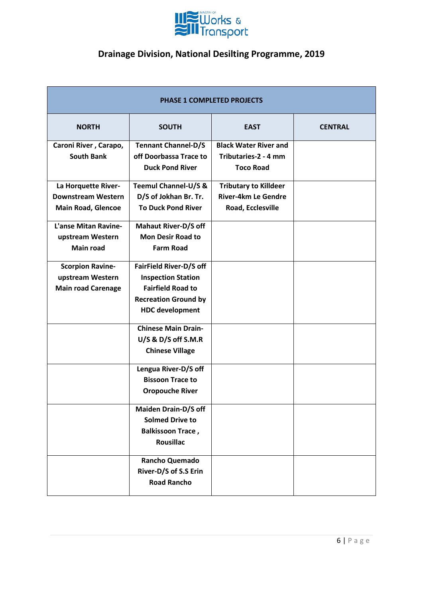

| <b>PHASE 1 COMPLETED PROJECTS</b> |                                 |                              |                |
|-----------------------------------|---------------------------------|------------------------------|----------------|
| <b>NORTH</b>                      | <b>SOUTH</b>                    | <b>EAST</b>                  | <b>CENTRAL</b> |
| Caroni River, Carapo,             | <b>Tennant Channel-D/S</b>      | <b>Black Water River and</b> |                |
| <b>South Bank</b>                 | off Doorbassa Trace to          | Tributaries-2 - 4 mm         |                |
|                                   | <b>Duck Pond River</b>          | <b>Toco Road</b>             |                |
| La Horquette River-               | <b>Teemul Channel-U/S &amp;</b> | <b>Tributary to Killdeer</b> |                |
| <b>Downstream Western</b>         | D/S of Jokhan Br. Tr.           | <b>River-4km Le Gendre</b>   |                |
| <b>Main Road, Glencoe</b>         | <b>To Duck Pond River</b>       | Road, Ecclesville            |                |
| <b>L'anse Mitan Ravine-</b>       | <b>Mahaut River-D/S off</b>     |                              |                |
| upstream Western                  | <b>Mon Desir Road to</b>        |                              |                |
| <b>Main road</b>                  | <b>Farm Road</b>                |                              |                |
| <b>Scorpion Ravine-</b>           | FairField River-D/S off         |                              |                |
| upstream Western                  | <b>Inspection Station</b>       |                              |                |
| <b>Main road Carenage</b>         | <b>Fairfield Road to</b>        |                              |                |
|                                   | <b>Recreation Ground by</b>     |                              |                |
|                                   | <b>HDC</b> development          |                              |                |
|                                   | <b>Chinese Main Drain-</b>      |                              |                |
|                                   | $U/S$ & D/S off S.M.R           |                              |                |
|                                   | <b>Chinese Village</b>          |                              |                |
|                                   | Lengua River-D/S off            |                              |                |
|                                   | <b>Bissoon Trace to</b>         |                              |                |
|                                   | <b>Oropouche River</b>          |                              |                |
|                                   | <b>Maiden Drain-D/S off</b>     |                              |                |
|                                   | <b>Solmed Drive to</b>          |                              |                |
|                                   | <b>Balkissoon Trace,</b>        |                              |                |
|                                   | <b>Rousillac</b>                |                              |                |
|                                   | Rancho Quemado                  |                              |                |
|                                   | River-D/S of S.S Erin           |                              |                |
|                                   | <b>Road Rancho</b>              |                              |                |
|                                   |                                 |                              |                |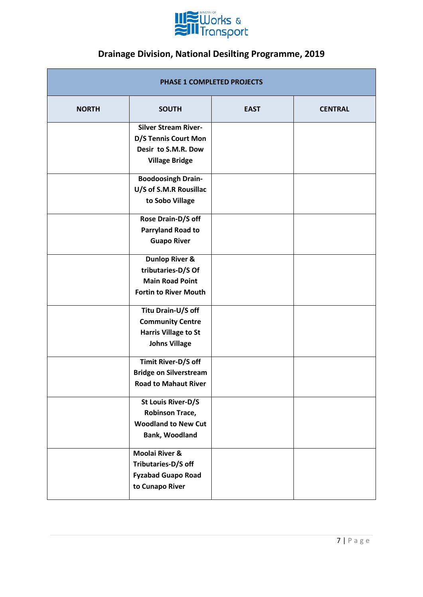

| <b>PHASE 1 COMPLETED PROJECTS</b> |                                                                                                           |             |                |
|-----------------------------------|-----------------------------------------------------------------------------------------------------------|-------------|----------------|
| <b>NORTH</b>                      | <b>SOUTH</b>                                                                                              | <b>EAST</b> | <b>CENTRAL</b> |
|                                   | <b>Silver Stream River-</b><br>D/S Tennis Court Mon<br>Desir to S.M.R. Dow<br><b>Village Bridge</b>       |             |                |
|                                   | <b>Boodoosingh Drain-</b><br>U/S of S.M.R Rousillac<br>to Sobo Village                                    |             |                |
|                                   | Rose Drain-D/S off<br><b>Parryland Road to</b><br><b>Guapo River</b>                                      |             |                |
|                                   | <b>Dunlop River &amp;</b><br>tributaries-D/S Of<br><b>Main Road Point</b><br><b>Fortin to River Mouth</b> |             |                |
|                                   | Titu Drain-U/S off<br><b>Community Centre</b><br><b>Harris Village to St</b><br><b>Johns Village</b>      |             |                |
|                                   | Timit River-D/S off<br><b>Bridge on Silverstream</b><br><b>Road to Mahaut River</b>                       |             |                |
|                                   | St Louis River-D/S<br><b>Robinson Trace,</b><br><b>Woodland to New Cut</b><br>Bank, Woodland              |             |                |
|                                   | <b>Moolai River &amp;</b><br>Tributaries-D/S off<br><b>Fyzabad Guapo Road</b><br>to Cunapo River          |             |                |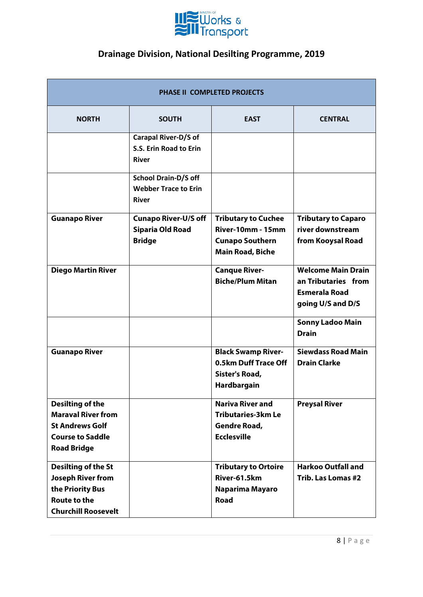

| PHASE II COMPLETED PROJECTS                                                                                                     |                                                                            |                                                                                                             |                                                                                               |
|---------------------------------------------------------------------------------------------------------------------------------|----------------------------------------------------------------------------|-------------------------------------------------------------------------------------------------------------|-----------------------------------------------------------------------------------------------|
| <b>NORTH</b>                                                                                                                    | <b>SOUTH</b>                                                               | <b>EAST</b>                                                                                                 | <b>CENTRAL</b>                                                                                |
|                                                                                                                                 | <b>Carapal River-D/S of</b><br>S.S. Erin Road to Erin<br><b>River</b>      |                                                                                                             |                                                                                               |
|                                                                                                                                 | <b>School Drain-D/S off</b><br><b>Webber Trace to Erin</b><br><b>River</b> |                                                                                                             |                                                                                               |
| <b>Guanapo River</b>                                                                                                            | <b>Cunapo River-U/S off</b><br><b>Siparia Old Road</b><br><b>Bridge</b>    | <b>Tributary to Cuchee</b><br><b>River-10mm - 15mm</b><br><b>Cunapo Southern</b><br><b>Main Road, Biche</b> | <b>Tributary to Caparo</b><br>river downstream<br>from Kooysal Road                           |
| <b>Diego Martin River</b>                                                                                                       |                                                                            | <b>Canque River-</b><br><b>Biche/Plum Mitan</b>                                                             | <b>Welcome Main Drain</b><br>an Tributaries from<br><b>Esmerala Road</b><br>going U/S and D/S |
|                                                                                                                                 |                                                                            |                                                                                                             | <b>Sonny Ladoo Main</b><br><b>Drain</b>                                                       |
| <b>Guanapo River</b>                                                                                                            |                                                                            | <b>Black Swamp River-</b><br>0.5km Duff Trace Off<br>Sister's Road,<br>Hardbargain                          | <b>Siewdass Road Main</b><br><b>Drain Clarke</b>                                              |
| <b>Desilting of the</b><br><b>Maraval River from</b><br><b>St Andrews Golf</b><br><b>Course to Saddle</b><br><b>Road Bridge</b> |                                                                            | <b>Nariva River and</b><br><b>Tributaries-3km Le</b><br><b>Gendre Road,</b><br><b>Ecclesville</b>           | <b>Preysal River</b>                                                                          |
| <b>Desilting of the St</b><br><b>Joseph River from</b><br>the Priority Bus<br><b>Route to the</b><br><b>Churchill Roosevelt</b> |                                                                            | <b>Tributary to Ortoire</b><br>River-61.5km<br>Naparima Mayaro<br><b>Road</b>                               | <b>Harkoo Outfall and</b><br>Trib. Las Lomas #2                                               |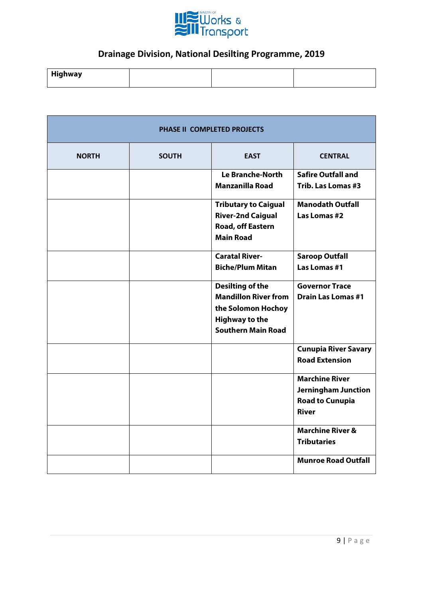

| . Hir<br>Highway |  |  |
|------------------|--|--|
|                  |  |  |

| <b>PHASE II COMPLETED PROJECTS</b> |              |                             |                             |
|------------------------------------|--------------|-----------------------------|-----------------------------|
| <b>NORTH</b>                       | <b>SOUTH</b> | <b>EAST</b>                 | <b>CENTRAL</b>              |
|                                    |              | <b>Le Branche-North</b>     | <b>Safire Outfall and</b>   |
|                                    |              | <b>Manzanilla Road</b>      | Trib. Las Lomas #3          |
|                                    |              | <b>Tributary to Caigual</b> | <b>Manodath Outfall</b>     |
|                                    |              | <b>River-2nd Caigual</b>    | Las Lomas #2                |
|                                    |              | Road, off Eastern           |                             |
|                                    |              | <b>Main Road</b>            |                             |
|                                    |              | <b>Caratal River-</b>       | <b>Saroop Outfall</b>       |
|                                    |              | <b>Biche/Plum Mitan</b>     | Las Lomas #1                |
|                                    |              | <b>Desilting of the</b>     | <b>Governor Trace</b>       |
|                                    |              | <b>Mandillon River from</b> | <b>Drain Las Lomas #1</b>   |
|                                    |              | the Solomon Hochoy          |                             |
|                                    |              | <b>Highway to the</b>       |                             |
|                                    |              | <b>Southern Main Road</b>   |                             |
|                                    |              |                             | <b>Cunupia River Savary</b> |
|                                    |              |                             | <b>Road Extension</b>       |
|                                    |              |                             | <b>Marchine River</b>       |
|                                    |              |                             | <b>Jerningham Junction</b>  |
|                                    |              |                             | <b>Road to Cunupia</b>      |
|                                    |              |                             | <b>River</b>                |
|                                    |              |                             | <b>Marchine River &amp;</b> |
|                                    |              |                             | <b>Tributaries</b>          |
|                                    |              |                             | <b>Munroe Road Outfall</b>  |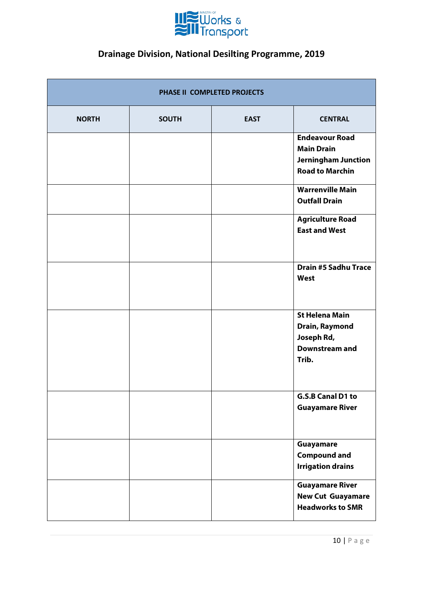

| PHASE II COMPLETED PROJECTS |              |             |                                                                                                    |
|-----------------------------|--------------|-------------|----------------------------------------------------------------------------------------------------|
| <b>NORTH</b>                | <b>SOUTH</b> | <b>EAST</b> | <b>CENTRAL</b>                                                                                     |
|                             |              |             | <b>Endeavour Road</b><br><b>Main Drain</b><br><b>Jerningham Junction</b><br><b>Road to Marchin</b> |
|                             |              |             | <b>Warrenville Main</b><br><b>Outfall Drain</b>                                                    |
|                             |              |             | <b>Agriculture Road</b><br><b>East and West</b>                                                    |
|                             |              |             | <b>Drain #5 Sadhu Trace</b><br>West                                                                |
|                             |              |             | <b>St Helena Main</b><br>Drain, Raymond<br>Joseph Rd,<br>Downstream and<br>Trib.                   |
|                             |              |             | G.S.B Canal D1 to<br><b>Guayamare River</b>                                                        |
|                             |              |             | Guayamare<br><b>Compound and</b><br><b>Irrigation drains</b>                                       |
|                             |              |             | <b>Guayamare River</b><br><b>New Cut Guayamare</b><br><b>Headworks to SMR</b>                      |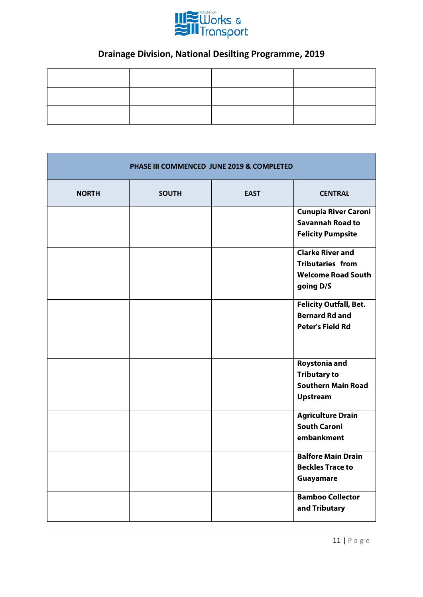

| PHASE III COMMENCED JUNE 2019 & COMPLETED |              |             |                                                                                              |
|-------------------------------------------|--------------|-------------|----------------------------------------------------------------------------------------------|
| <b>NORTH</b>                              | <b>SOUTH</b> | <b>EAST</b> | <b>CENTRAL</b>                                                                               |
|                                           |              |             | <b>Cunupia River Caroni</b><br><b>Savannah Road to</b><br><b>Felicity Pumpsite</b>           |
|                                           |              |             | <b>Clarke River and</b><br><b>Tributaries from</b><br><b>Welcome Road South</b><br>going D/S |
|                                           |              |             | <b>Felicity Outfall, Bet.</b><br><b>Bernard Rd and</b><br><b>Peter's Field Rd</b>            |
|                                           |              |             | Roystonia and<br><b>Tributary to</b><br><b>Southern Main Road</b><br><b>Upstream</b>         |
|                                           |              |             | <b>Agriculture Drain</b><br><b>South Caroni</b><br>embankment                                |
|                                           |              |             | <b>Balfore Main Drain</b><br><b>Beckles Trace to</b><br>Guayamare                            |
|                                           |              |             | <b>Bamboo Collector</b><br>and Tributary                                                     |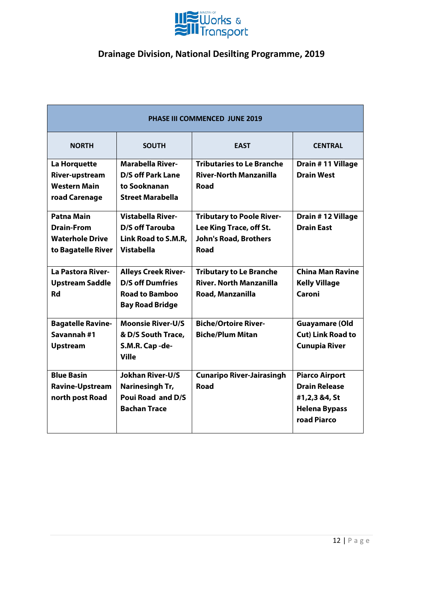

| <b>PHASE III COMMENCED JUNE 2019</b>                                                   |                                                                                                          |                                                                                                     |                                                                                                       |  |  |
|----------------------------------------------------------------------------------------|----------------------------------------------------------------------------------------------------------|-----------------------------------------------------------------------------------------------------|-------------------------------------------------------------------------------------------------------|--|--|
| <b>NORTH</b><br><b>EAST</b><br><b>SOUTH</b><br><b>CENTRAL</b>                          |                                                                                                          |                                                                                                     |                                                                                                       |  |  |
| La Horquette<br>River-upstream<br><b>Western Main</b><br>road Carenage                 | <b>Marabella River-</b><br><b>D/S off Park Lane</b><br>to Sooknanan<br><b>Street Marabella</b>           | <b>Tributaries to Le Branche</b><br><b>River-North Manzanilla</b><br>Road                           | Drain #11 Village<br><b>Drain West</b>                                                                |  |  |
| <b>Patna Main</b><br><b>Drain-From</b><br><b>Waterhole Drive</b><br>to Bagatelle River | <b>Vistabella River-</b><br><b>D/S off Tarouba</b><br>Link Road to S.M.R,<br><b>Vistabella</b>           | <b>Tributary to Poole River-</b><br>Lee King Trace, off St.<br><b>John's Road, Brothers</b><br>Road | Drain #12 Village<br><b>Drain East</b>                                                                |  |  |
| <b>La Pastora River-</b><br><b>Upstream Saddle</b><br>Rd                               | <b>Alleys Creek River-</b><br><b>D/S off Dumfries</b><br><b>Road to Bamboo</b><br><b>Bay Road Bridge</b> | <b>Tributary to Le Branche</b><br><b>River. North Manzanilla</b><br>Road, Manzanilla                | <b>China Man Ravine</b><br><b>Kelly Village</b><br>Caroni                                             |  |  |
| <b>Bagatelle Ravine-</b><br>Savannah#1<br><b>Upstream</b>                              | <b>Moonsie River-U/S</b><br>& D/S South Trace,<br>S.M.R. Cap-de-<br><b>Ville</b>                         | <b>Biche/Ortoire River-</b><br><b>Biche/Plum Mitan</b>                                              | <b>Guayamare (Old</b><br><b>Cut) Link Road to</b><br><b>Cunupia River</b>                             |  |  |
| <b>Blue Basin</b><br><b>Ravine-Upstream</b><br>north post Road                         | <b>Jokhan River-U/S</b><br>Narinesingh Tr,<br>Poui Road and D/S<br><b>Bachan Trace</b>                   | <b>Cunaripo River-Jairasingh</b><br><b>Road</b>                                                     | <b>Piarco Airport</b><br><b>Drain Release</b><br>#1,2,3 &4, St<br><b>Helena Bypass</b><br>road Piarco |  |  |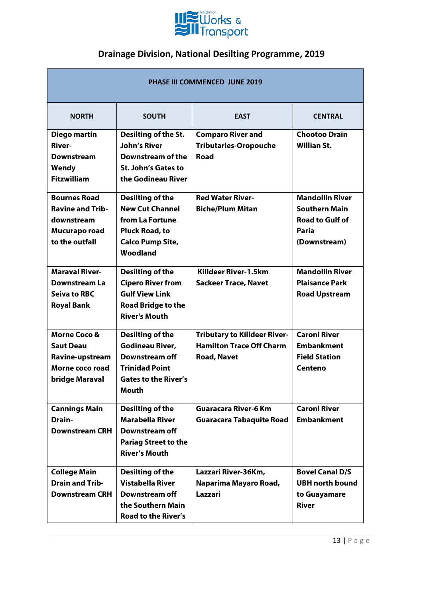

| <b>PHASE III COMMENCED JUNE 2019</b>                                                                |                                                                                                                                      |                                                                                              |                                                                                                   |
|-----------------------------------------------------------------------------------------------------|--------------------------------------------------------------------------------------------------------------------------------------|----------------------------------------------------------------------------------------------|---------------------------------------------------------------------------------------------------|
| <b>NORTH</b>                                                                                        | <b>SOUTH</b>                                                                                                                         | <b>EAST</b>                                                                                  | <b>CENTRAL</b>                                                                                    |
| Diego martin<br><b>River-</b><br><b>Downstream</b><br>Wendy<br><b>Fitzwilliam</b>                   | Desilting of the St.<br><b>John's River</b><br>Downstream of the<br>St. John's Gates to<br>the Godineau River                        | <b>Comparo River and</b><br><b>Tributaries-Oropouche</b><br>Road                             | <b>Chootoo Drain</b><br><b>Willian St.</b>                                                        |
| <b>Bournes Road</b><br><b>Ravine and Trib-</b><br>downstream<br>Mucurapo road<br>to the outfall     | Desilting of the<br><b>New Cut Channel</b><br>from La Fortune<br><b>Pluck Road, to</b><br><b>Calco Pump Site,</b><br>Woodland        | <b>Red Water River-</b><br><b>Biche/Plum Mitan</b>                                           | <b>Mandollin River</b><br><b>Southern Main</b><br><b>Road to Gulf of</b><br>Paria<br>(Downstream) |
| <b>Maraval River-</b><br>Downstream La<br><b>Seiva to RBC</b><br><b>Royal Bank</b>                  | <b>Desilting of the</b><br><b>Cipero River from</b><br><b>Gulf View Link</b><br><b>Road Bridge to the</b><br><b>River's Mouth</b>    | Killdeer River-1.5km<br><b>Sackeer Trace, Navet</b>                                          | <b>Mandollin River</b><br><b>Plaisance Park</b><br><b>Road Upstream</b>                           |
| <b>Morne Coco &amp;</b><br><b>Saut Deau</b><br>Ravine-upstream<br>Morne coco road<br>bridge Maraval | Desilting of the<br><b>Godineau River,</b><br>Downstream off<br><b>Trinidad Point</b><br><b>Gates to the River's</b><br><b>Mouth</b> | <b>Tributary to Killdeer River-</b><br><b>Hamilton Trace Off Charm</b><br><b>Road, Navet</b> | <b>Caroni River</b><br><b>Embankment</b><br><b>Field Station</b><br>Centeno                       |
| <b>Cannings Main</b><br>Drain-<br><b>Downstream CRH</b>                                             | Desilting of the<br><b>Marabella River</b><br>Downstream off<br><b>Pariag Street to the</b><br><b>River's Mouth</b>                  | <b>Guaracara River-6 Km</b><br><b>Guaracara Tabaquite Road</b>                               | <b>Caroni River</b><br><b>Embankment</b>                                                          |
| <b>College Main</b><br><b>Drain and Trib-</b><br><b>Downstream CRH</b>                              | Desilting of the<br><b>Vistabella River</b><br>Downstream off<br>the Southern Main<br><b>Road to the River's</b>                     | Lazzari River-36Km,<br>Naparima Mayaro Road,<br>Lazzari                                      | <b>Bovel Canal D/S</b><br><b>UBH north bound</b><br>to Guayamare<br><b>River</b>                  |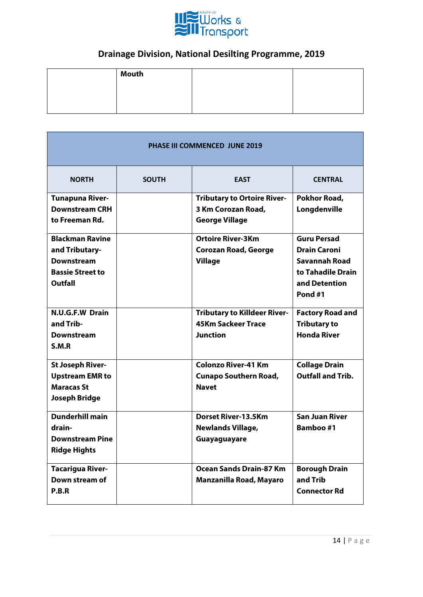

| Mouth |  |
|-------|--|
|       |  |
|       |  |
|       |  |

| <b>PHASE III COMMENCED JUNE 2019</b> |              |                                     |                          |
|--------------------------------------|--------------|-------------------------------------|--------------------------|
| <b>NORTH</b>                         | <b>SOUTH</b> | <b>EAST</b>                         | <b>CENTRAL</b>           |
| <b>Tunapuna River-</b>               |              | <b>Tributary to Ortoire River-</b>  | Pokhor Road,             |
| <b>Downstream CRH</b>                |              | 3 Km Corozan Road,                  | Longdenville             |
| to Freeman Rd.                       |              | <b>George Village</b>               |                          |
| <b>Blackman Ravine</b>               |              | <b>Ortoire River-3Km</b>            | <b>Guru Persad</b>       |
| and Tributary-                       |              | <b>Corozan Road, George</b>         | <b>Drain Caroni</b>      |
| <b>Downstream</b>                    |              | <b>Village</b>                      | <b>Savannah Road</b>     |
| <b>Bassie Street to</b>              |              |                                     | to Tahadile Drain        |
| Outfall                              |              |                                     | and Detention            |
|                                      |              |                                     | Pond#1                   |
| N.U.G.F.W Drain                      |              | <b>Tributary to Killdeer River-</b> | <b>Factory Road and</b>  |
| and Trib-                            |              | <b>45Km Sackeer Trace</b>           | <b>Tributary to</b>      |
| <b>Downstream</b>                    |              | <b>Junction</b>                     | <b>Honda River</b>       |
| S.M.R                                |              |                                     |                          |
| <b>St Joseph River-</b>              |              | <b>Colonzo River-41 Km</b>          | <b>Collage Drain</b>     |
| <b>Upstream EMR to</b>               |              | <b>Cunapo Southern Road,</b>        | <b>Outfall and Trib.</b> |
| <b>Maracas St</b>                    |              | <b>Navet</b>                        |                          |
| <b>Joseph Bridge</b>                 |              |                                     |                          |
| <b>Dunderhill main</b>               |              | <b>Dorset River-13.5Km</b>          | <b>San Juan River</b>    |
| drain-                               |              | <b>Newlands Village,</b>            | <b>Bamboo#1</b>          |
| <b>Downstream Pine</b>               |              | Guayaguayare                        |                          |
| <b>Ridge Hights</b>                  |              |                                     |                          |
| <b>Tacarigua River-</b>              |              | <b>Ocean Sands Drain-87 Km</b>      | <b>Borough Drain</b>     |
| Down stream of                       |              | Manzanilla Road, Mayaro             | and Trib                 |
| P.B.R                                |              |                                     | <b>Connector Rd</b>      |
|                                      |              |                                     |                          |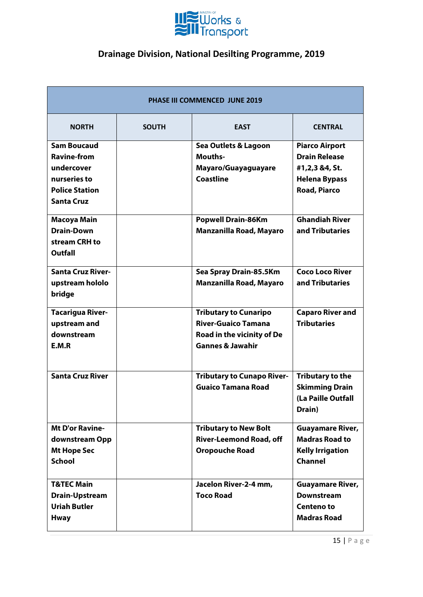

| <b>PHASE III COMMENCED JUNE 2019</b> |              |                                   |                         |
|--------------------------------------|--------------|-----------------------------------|-------------------------|
| <b>NORTH</b>                         | <b>SOUTH</b> | <b>EAST</b>                       | <b>CENTRAL</b>          |
| <b>Sam Boucaud</b>                   |              | Sea Outlets & Lagoon              | <b>Piarco Airport</b>   |
| <b>Ravine-from</b>                   |              | Mouths-                           | <b>Drain Release</b>    |
| undercover                           |              | Mayaro/Guayaguayare               | #1,2,3 &4, St.          |
| nurseries to                         |              | <b>Coastline</b>                  | <b>Helena Bypass</b>    |
| <b>Police Station</b>                |              |                                   | <b>Road, Piarco</b>     |
| <b>Santa Cruz</b>                    |              |                                   |                         |
| Macoya Main                          |              | <b>Popwell Drain-86Km</b>         | <b>Ghandiah River</b>   |
| <b>Drain-Down</b>                    |              | Manzanilla Road, Mayaro           | and Tributaries         |
| stream CRH to                        |              |                                   |                         |
| <b>Outfall</b>                       |              |                                   |                         |
| <b>Santa Cruz River-</b>             |              | Sea Spray Drain-85.5Km            | <b>Coco Loco River</b>  |
| upstream hololo                      |              | Manzanilla Road, Mayaro           | and Tributaries         |
| bridge                               |              |                                   |                         |
| <b>Tacarigua River-</b>              |              | <b>Tributary to Cunaripo</b>      | <b>Caparo River and</b> |
| upstream and                         |              | <b>River-Guaico Tamana</b>        | <b>Tributaries</b>      |
| downstream                           |              | Road in the vicinity of De        |                         |
| E.M.R                                |              | <b>Gannes &amp; Jawahir</b>       |                         |
| <b>Santa Cruz River</b>              |              | <b>Tributary to Cunapo River-</b> | <b>Tributary to the</b> |
|                                      |              | <b>Guaico Tamana Road</b>         | <b>Skimming Drain</b>   |
|                                      |              |                                   | (La Paille Outfall      |
|                                      |              |                                   | Drain)                  |
| <b>Mt D'or Ravine-</b>               |              | <b>Tributary to New Bolt</b>      | <b>Guayamare River,</b> |
| downstream Opp                       |              | <b>River-Leemond Road, off</b>    | <b>Madras Road to</b>   |
| <b>Mt Hope Sec</b>                   |              | <b>Oropouche Road</b>             | <b>Kelly Irrigation</b> |
| <b>School</b>                        |              |                                   | <b>Channel</b>          |
| <b>T&amp;TEC Main</b>                |              | Jacelon River-2-4 mm,             | <b>Guayamare River,</b> |
| <b>Drain-Upstream</b>                |              | <b>Toco Road</b>                  | <b>Downstream</b>       |
| <b>Uriah Butler</b>                  |              |                                   | Centeno to              |
| <b>Hway</b>                          |              |                                   | <b>Madras Road</b>      |
|                                      |              |                                   |                         |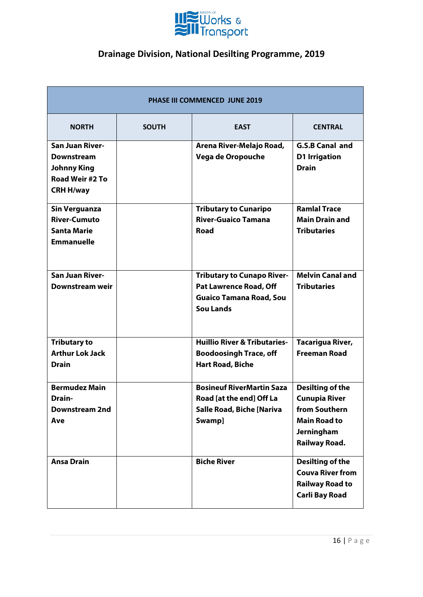

| <b>PHASE III COMMENCED JUNE 2019</b>                                                                     |              |                                                                                                                          |                                                                                                                        |
|----------------------------------------------------------------------------------------------------------|--------------|--------------------------------------------------------------------------------------------------------------------------|------------------------------------------------------------------------------------------------------------------------|
| <b>NORTH</b>                                                                                             | <b>SOUTH</b> | <b>EAST</b>                                                                                                              | <b>CENTRAL</b>                                                                                                         |
| <b>San Juan River-</b><br><b>Downstream</b><br><b>Johnny King</b><br>Road Weir #2 To<br><b>CRH H/way</b> |              | Arena River-Melajo Road,<br>Vega de Oropouche                                                                            | <b>G.S.B Canal and</b><br><b>D1 Irrigation</b><br><b>Drain</b>                                                         |
| <b>Sin Verguanza</b><br><b>River-Cumuto</b><br><b>Santa Marie</b><br><b>Emmanuelle</b>                   |              | <b>Tributary to Cunaripo</b><br><b>River-Guaico Tamana</b><br><b>Road</b>                                                | <b>Ramlal Trace</b><br><b>Main Drain and</b><br><b>Tributaries</b>                                                     |
| <b>San Juan River-</b><br>Downstream weir                                                                |              | <b>Tributary to Cunapo River-</b><br><b>Pat Lawrence Road, Off</b><br><b>Guaico Tamana Road, Sou</b><br><b>Sou Lands</b> | <b>Melvin Canal and</b><br><b>Tributaries</b>                                                                          |
| <b>Tributary to</b><br><b>Arthur Lok Jack</b><br><b>Drain</b>                                            |              | <b>Huillio River &amp; Tributaries-</b><br><b>Boodoosingh Trace, off</b><br><b>Hart Road, Biche</b>                      | Tacarigua River,<br><b>Freeman Road</b>                                                                                |
| <b>Bermudez Main</b><br>Drain-<br>Downstream 2nd<br>Ave                                                  |              | <b>Bosineuf RiverMartin Saza</b><br>Road [at the end] Off La<br><b>Salle Road, Biche [Nariva</b><br>Swamp]               | Desilting of the<br><b>Cunupia River</b><br>from Southern<br><b>Main Road to</b><br><b>Jerningham</b><br>Railway Road. |
| <b>Ansa Drain</b>                                                                                        |              | <b>Biche River</b>                                                                                                       | Desilting of the<br><b>Couva River from</b><br><b>Railway Road to</b><br><b>Carli Bay Road</b>                         |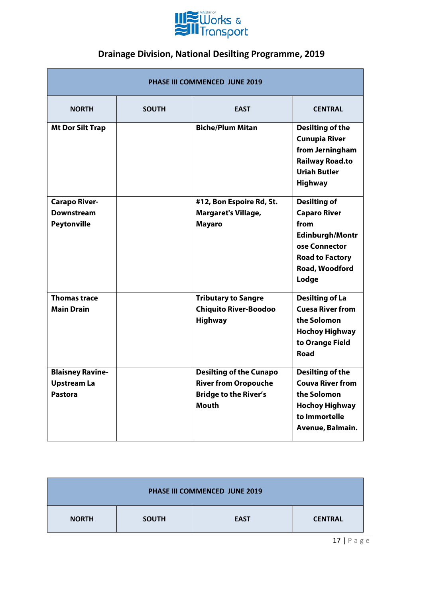

| <b>PHASE III COMMENCED JUNE 2019</b>                            |              |                                                                                                               |                                                                                                                                                    |
|-----------------------------------------------------------------|--------------|---------------------------------------------------------------------------------------------------------------|----------------------------------------------------------------------------------------------------------------------------------------------------|
| <b>NORTH</b>                                                    | <b>SOUTH</b> | <b>EAST</b>                                                                                                   | <b>CENTRAL</b>                                                                                                                                     |
| <b>Mt Dor Silt Trap</b>                                         |              | <b>Biche/Plum Mitan</b>                                                                                       | <b>Desilting of the</b><br><b>Cunupia River</b><br>from Jerningham<br><b>Railway Road.to</b><br><b>Uriah Butler</b><br><b>Highway</b>              |
| <b>Carapo River-</b><br><b>Downstream</b><br><b>Peytonville</b> |              | #12, Bon Espoire Rd, St.<br><b>Margaret's Village,</b><br><b>Mayaro</b>                                       | <b>Desilting of</b><br><b>Caparo River</b><br>from<br><b>Edinburgh/Montr</b><br>ose Connector<br><b>Road to Factory</b><br>Road, Woodford<br>Lodge |
| <b>Thomas trace</b><br><b>Main Drain</b>                        |              | <b>Tributary to Sangre</b><br><b>Chiquito River-Boodoo</b><br><b>Highway</b>                                  | <b>Desilting of La</b><br><b>Cuesa River from</b><br>the Solomon<br><b>Hochoy Highway</b><br>to Orange Field<br>Road                               |
| <b>Blaisney Ravine-</b><br><b>Upstream La</b><br><b>Pastora</b> |              | <b>Desilting of the Cunapo</b><br><b>River from Oropouche</b><br><b>Bridge to the River's</b><br><b>Mouth</b> | Desilting of the<br><b>Couva River from</b><br>the Solomon<br><b>Hochoy Highway</b><br>to Immortelle<br>Avenue, Balmain.                           |

| PHASE III COMMENCED JUNE 2019 |              |             |                |
|-------------------------------|--------------|-------------|----------------|
| <b>NORTH</b>                  | <b>SOUTH</b> | <b>EAST</b> | <b>CENTRAL</b> |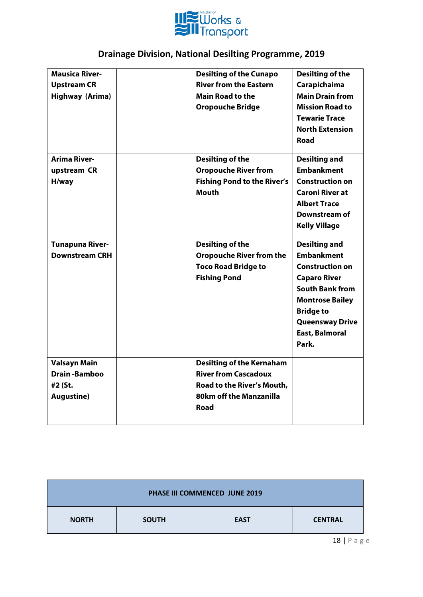

| <b>Mausica River-</b>  | <b>Desilting of the Cunapo</b>     | Desilting of the       |
|------------------------|------------------------------------|------------------------|
| <b>Upstream CR</b>     | <b>River from the Eastern</b>      | Carapichaima           |
| <b>Highway (Arima)</b> | <b>Main Road to the</b>            | <b>Main Drain from</b> |
|                        | <b>Oropouche Bridge</b>            | <b>Mission Road to</b> |
|                        |                                    | <b>Tewarie Trace</b>   |
|                        |                                    | <b>North Extension</b> |
|                        |                                    | Road                   |
| <b>Arima River-</b>    | <b>Desilting of the</b>            | <b>Desilting and</b>   |
| upstream CR            | <b>Oropouche River from</b>        | <b>Embankment</b>      |
| H/way                  | <b>Fishing Pond to the River's</b> | <b>Construction on</b> |
|                        | <b>Mouth</b>                       | <b>Caroni River at</b> |
|                        |                                    | <b>Albert Trace</b>    |
|                        |                                    | Downstream of          |
|                        |                                    | <b>Kelly Village</b>   |
| <b>Tunapuna River-</b> | <b>Desilting of the</b>            | <b>Desilting and</b>   |
| <b>Downstream CRH</b>  | <b>Oropouche River from the</b>    | <b>Embankment</b>      |
|                        | <b>Toco Road Bridge to</b>         | <b>Construction on</b> |
|                        | <b>Fishing Pond</b>                | <b>Caparo River</b>    |
|                        |                                    | <b>South Bank from</b> |
|                        |                                    | <b>Montrose Bailey</b> |
|                        |                                    | <b>Bridge to</b>       |
|                        |                                    | <b>Queensway Drive</b> |
|                        |                                    | <b>East, Balmoral</b>  |
|                        |                                    | Park.                  |
|                        |                                    |                        |
| <b>Valsayn Main</b>    | <b>Desilting of the Kernaham</b>   |                        |
| <b>Drain-Bamboo</b>    | <b>River from Cascadoux</b>        |                        |
| #2 (St.                | Road to the River's Mouth,         |                        |
| <b>Augustine)</b>      | 80km off the Manzanilla            |                        |
|                        | Road                               |                        |
|                        |                                    |                        |

| <b>PHASE III COMMENCED JUNE 2019</b> |              |             |                |
|--------------------------------------|--------------|-------------|----------------|
| <b>NORTH</b>                         | <b>SOUTH</b> | <b>EAST</b> | <b>CENTRAL</b> |
|                                      |              |             | $\overline{a}$ |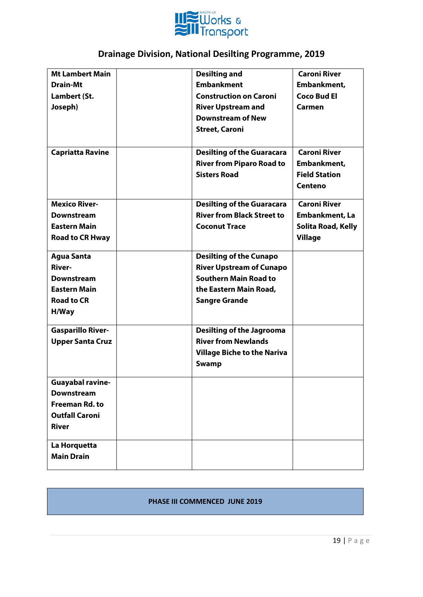

| <b>Mt Lambert Main</b>   | <b>Desilting and</b>               | <b>Caroni River</b>   |
|--------------------------|------------------------------------|-----------------------|
| <b>Drain-Mt</b>          | <b>Embankment</b>                  | Embankment,           |
| Lambert (St.             | <b>Construction on Caroni</b>      | <b>Coco Bud El</b>    |
| Joseph)                  | <b>River Upstream and</b>          | Carmen                |
|                          | <b>Downstream of New</b>           |                       |
|                          | <b>Street, Caroni</b>              |                       |
|                          |                                    |                       |
| <b>Capriatta Ravine</b>  | <b>Desilting of the Guaracara</b>  | <b>Caroni River</b>   |
|                          | <b>River from Piparo Road to</b>   | Embankment,           |
|                          | <b>Sisters Road</b>                | <b>Field Station</b>  |
|                          |                                    | Centeno               |
| <b>Mexico River-</b>     | <b>Desilting of the Guaracara</b>  | <b>Caroni River</b>   |
| <b>Downstream</b>        | <b>River from Black Street to</b>  | <b>Embankment, La</b> |
| <b>Eastern Main</b>      | <b>Coconut Trace</b>               | Solita Road, Kelly    |
| <b>Road to CR Hway</b>   |                                    | <b>Village</b>        |
|                          |                                    |                       |
| <b>Agua Santa</b>        | <b>Desilting of the Cunapo</b>     |                       |
| <b>River-</b>            | <b>River Upstream of Cunapo</b>    |                       |
| <b>Downstream</b>        | <b>Southern Main Road to</b>       |                       |
| <b>Eastern Main</b>      | the Eastern Main Road,             |                       |
| <b>Road to CR</b>        | <b>Sangre Grande</b>               |                       |
| H/Way                    |                                    |                       |
| <b>Gasparillo River-</b> | <b>Desilting of the Jagrooma</b>   |                       |
| <b>Upper Santa Cruz</b>  | <b>River from Newlands</b>         |                       |
|                          | <b>Village Biche to the Nariva</b> |                       |
|                          | Swamp                              |                       |
| <b>Guavabal ravine-</b>  |                                    |                       |
| <b>Downstream</b>        |                                    |                       |
| <b>Freeman Rd. to</b>    |                                    |                       |
| <b>Outfall Caroni</b>    |                                    |                       |
| <b>River</b>             |                                    |                       |
| La Horquetta             |                                    |                       |
| <b>Main Drain</b>        |                                    |                       |
|                          |                                    |                       |

#### **PHASE III COMMENCED JUNE 2019**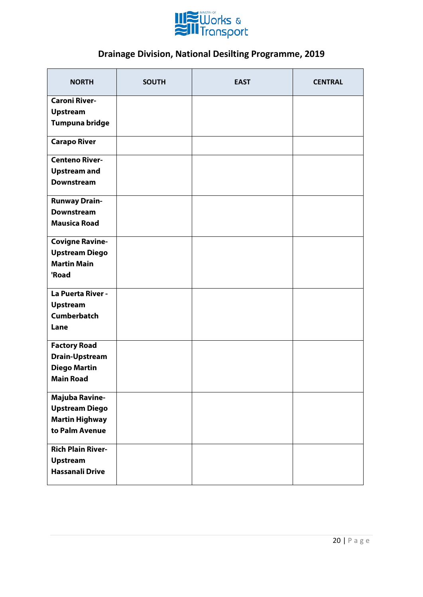

| <b>NORTH</b>             | <b>SOUTH</b> | <b>EAST</b> | <b>CENTRAL</b> |
|--------------------------|--------------|-------------|----------------|
| <b>Caroni River-</b>     |              |             |                |
| <b>Upstream</b>          |              |             |                |
| Tumpuna bridge           |              |             |                |
| <b>Carapo River</b>      |              |             |                |
| <b>Centeno River-</b>    |              |             |                |
| <b>Upstream and</b>      |              |             |                |
| <b>Downstream</b>        |              |             |                |
| <b>Runway Drain-</b>     |              |             |                |
| <b>Downstream</b>        |              |             |                |
| <b>Mausica Road</b>      |              |             |                |
| <b>Covigne Ravine-</b>   |              |             |                |
| <b>Upstream Diego</b>    |              |             |                |
| <b>Martin Main</b>       |              |             |                |
| 'Road                    |              |             |                |
| La Puerta River -        |              |             |                |
| <b>Upstream</b>          |              |             |                |
| <b>Cumberbatch</b>       |              |             |                |
| Lane                     |              |             |                |
| <b>Factory Road</b>      |              |             |                |
| <b>Drain-Upstream</b>    |              |             |                |
| <b>Diego Martin</b>      |              |             |                |
| <b>Main Road</b>         |              |             |                |
| <b>Majuba Ravine-</b>    |              |             |                |
| <b>Upstream Diego</b>    |              |             |                |
| <b>Martin Highway</b>    |              |             |                |
| to Palm Avenue           |              |             |                |
| <b>Rich Plain River-</b> |              |             |                |
| <b>Upstream</b>          |              |             |                |
| <b>Hassanali Drive</b>   |              |             |                |
|                          |              |             |                |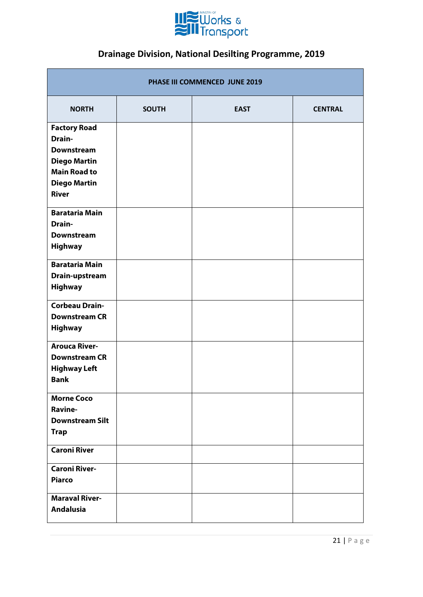

| PHASE III COMMENCED JUNE 2019                                                                                                                  |              |             |                |  |  |
|------------------------------------------------------------------------------------------------------------------------------------------------|--------------|-------------|----------------|--|--|
| <b>NORTH</b>                                                                                                                                   | <b>SOUTH</b> | <b>EAST</b> | <b>CENTRAL</b> |  |  |
| <b>Factory Road</b><br><b>Drain-</b><br><b>Downstream</b><br><b>Diego Martin</b><br><b>Main Road to</b><br><b>Diego Martin</b><br><b>River</b> |              |             |                |  |  |
| <b>Barataria Main</b><br><b>Drain-</b><br><b>Downstream</b><br><b>Highway</b>                                                                  |              |             |                |  |  |
| <b>Barataria Main</b><br>Drain-upstream<br><b>Highway</b>                                                                                      |              |             |                |  |  |
| <b>Corbeau Drain-</b><br><b>Downstream CR</b><br><b>Highway</b>                                                                                |              |             |                |  |  |
| <b>Arouca River-</b><br><b>Downstream CR</b><br><b>Highway Left</b><br><b>Bank</b>                                                             |              |             |                |  |  |
| <b>Morne Coco</b><br>Ravine-<br><b>Downstream Silt</b><br><b>Trap</b>                                                                          |              |             |                |  |  |
| <b>Caroni River</b><br><b>Caroni River-</b>                                                                                                    |              |             |                |  |  |
| <b>Piarco</b><br><b>Maraval River-</b><br><b>Andalusia</b>                                                                                     |              |             |                |  |  |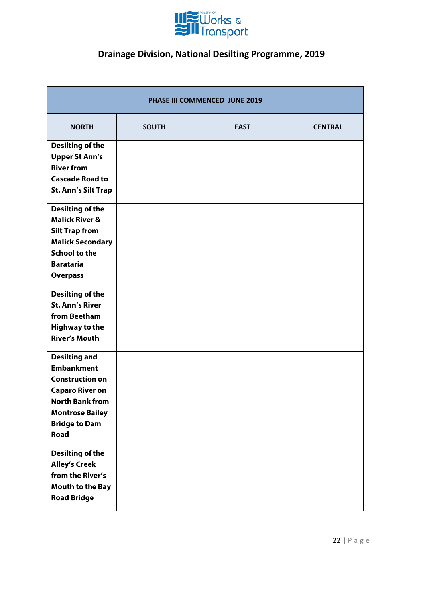

| PHASE III COMMENCED JUNE 2019                                                                                                                                                            |              |             |                |  |  |
|------------------------------------------------------------------------------------------------------------------------------------------------------------------------------------------|--------------|-------------|----------------|--|--|
| <b>NORTH</b>                                                                                                                                                                             | <b>SOUTH</b> | <b>EAST</b> | <b>CENTRAL</b> |  |  |
| <b>Desilting of the</b><br><b>Upper St Ann's</b><br><b>River from</b><br><b>Cascade Road to</b><br><b>St. Ann's Silt Trap</b>                                                            |              |             |                |  |  |
| <b>Desilting of the</b><br><b>Malick River &amp;</b><br><b>Silt Trap from</b><br><b>Malick Secondary</b><br><b>School to the</b><br><b>Barataria</b><br><b>Overpass</b>                  |              |             |                |  |  |
| <b>Desilting of the</b><br><b>St. Ann's River</b><br>from Beetham<br><b>Highway to the</b><br><b>River's Mouth</b>                                                                       |              |             |                |  |  |
| <b>Desilting and</b><br><b>Embankment</b><br><b>Construction on</b><br><b>Caparo River on</b><br><b>North Bank from</b><br><b>Montrose Bailey</b><br><b>Bridge to Dam</b><br><b>Road</b> |              |             |                |  |  |
| <b>Desilting of the</b><br><b>Alley's Creek</b><br>from the River's<br><b>Mouth to the Bay</b><br><b>Road Bridge</b>                                                                     |              |             |                |  |  |